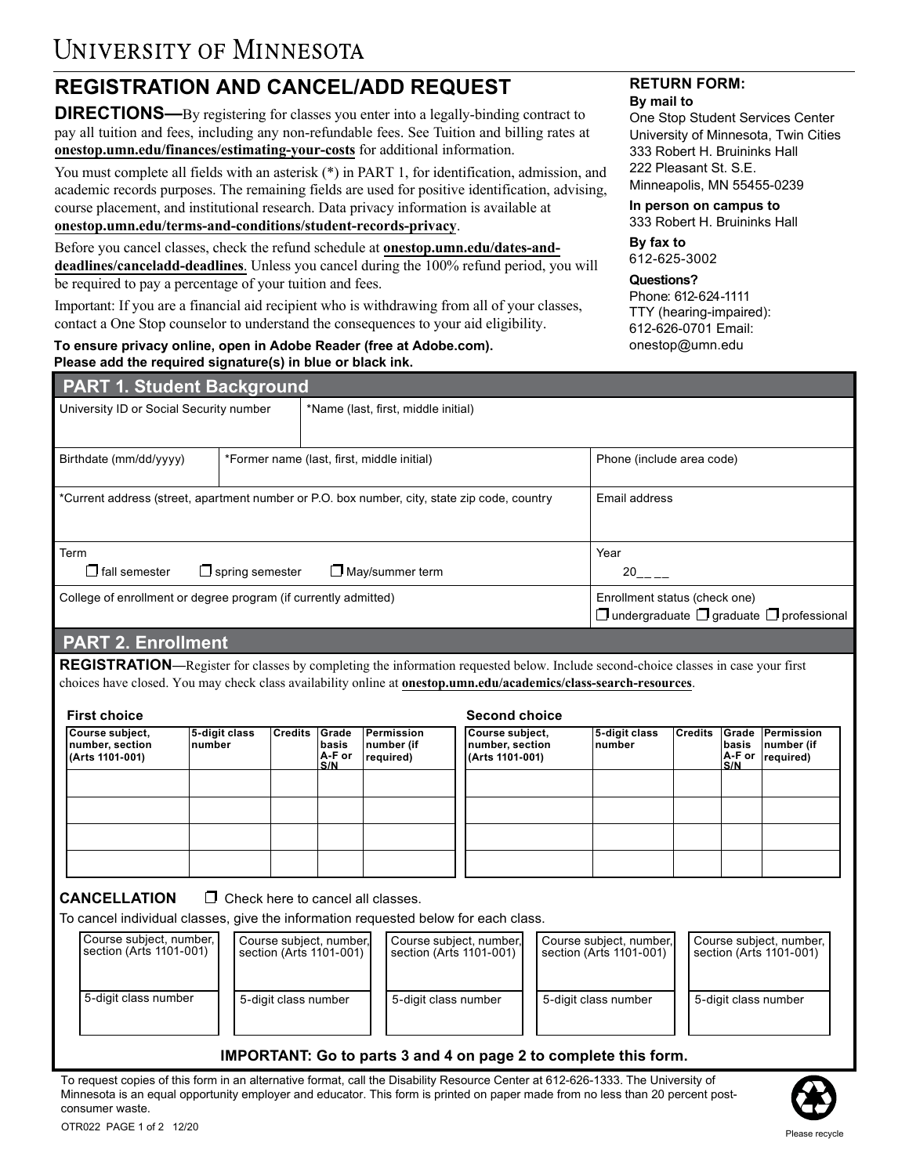# **REGISTRATION AND CANCEL/ADD REQUEST**

**DIRECTIONS—**By registering for classes you enter into a legally-binding contract to pay all tuition and fees, including any non-refundable fees. See Tuition and billing rates at **[onestop.umn.edu/finances/estimating-your-cos](https://onestop.umn.edu/finances/estimating-your-costs)ts** for additional information.

You must complete all fields with an asterisk (\*) in PART 1, for identification, admission, and academic records purposes. The remaining fields are used for positive identification, advising, course placement, and institutional research. Data privacy information is available at **[onestop.umn.edu/terms-and-conditions/student-records-privacy](https://onestop.umn.edu/terms-and-conditions/student-records-privacy)**.

Before you cancel classes, check the refund schedule at **[onestop.umn.edu/dates-and](https://onestop.umn.edu/dates-and-deadlines/canceladd-deadlines)[deadlines/canceladd-deadlines](https://onestop.umn.edu/dates-and-deadlines/canceladd-deadlines)**. Unless you cancel during the 100% refund period, you will be required to pay a percentage of your tuition and fees.

Important: If you are a financial aid recipient who is withdrawing from all of your classes, contact a One Stop counselor to understand the consequences to your aid eligibility.

#### **To ensure privacy online, open in Adobe Reader (free at Adobe.com). Please add the required signature(s) in blue or black ink.**

#### **RETURN FORM: By mail to**

One Stop Student Services Center University of Minnesota, Twin Cities 333 Robert H. Bruininks Hall 222 Pleasant St. S.E. Minneapolis, MN 55455-0239

**In person on campus to**  333 Robert H. Bruininks Hall

**By fax to**

612-625-3002

#### **Questions?**

Phone: 612-624-1111 TTY (hearing-impaired): 612-626-0701 Email: onestop@umn.edu

| <b>PART 1. Student Background</b>                               |                        |                                                                                              |                           |  |  |  |  |  |
|-----------------------------------------------------------------|------------------------|----------------------------------------------------------------------------------------------|---------------------------|--|--|--|--|--|
| University ID or Social Security number                         |                        | *Name (last, first, middle initial)                                                          |                           |  |  |  |  |  |
| Birthdate (mm/dd/yyyy)                                          |                        | *Former name (last, first, middle initial)                                                   | Phone (include area code) |  |  |  |  |  |
|                                                                 |                        | *Current address (street, apartment number or P.O. box number, city, state zip code, country | Email address             |  |  |  |  |  |
| Term<br>$\Box$ fall semester                                    | $\Box$ spring semester | $\Box$ May/summer term                                                                       | Year<br>20                |  |  |  |  |  |
| College of enrollment or degree program (if currently admitted) |                        | Enrollment status (check one)<br>$\Box$ undergraduate $\Box$ graduate $\Box$ professional    |                           |  |  |  |  |  |

## **PART 2. Enrollment**

**REGISTRATION**—Register for classes by completing the information requested below. Include second-choice classes in case your first choices have closed. You may check class availability online at **[onestop.umn.edu/academics/class-search-resources](https://onestop.umn.edu/academics/class-search-resources)**.

| <b>First choice</b>                                   |                          |         |                                 |                                       | <b>Second choice</b>                                   |                          |  |              |                                                                        |  |  |
|-------------------------------------------------------|--------------------------|---------|---------------------------------|---------------------------------------|--------------------------------------------------------|--------------------------|--|--------------|------------------------------------------------------------------------|--|--|
| Course subject,<br>number, section<br>(Arts 1101-001) | 5-digit class<br> number | Credits | Grade<br>basis<br>A-F or<br>S/N | Permission<br>number (if<br>required) | Course subject,<br>Inumber, section<br>(Arts 1101-001) | 5-digit class<br>∣number |  | basis<br>S/N | Credits Grade Permission<br>number (if<br>$ A-F$ or $ required\rangle$ |  |  |
|                                                       |                          |         |                                 |                                       |                                                        |                          |  |              |                                                                        |  |  |
|                                                       |                          |         |                                 |                                       |                                                        |                          |  |              |                                                                        |  |  |
|                                                       |                          |         |                                 |                                       |                                                        |                          |  |              |                                                                        |  |  |
|                                                       |                          |         |                                 |                                       |                                                        |                          |  |              |                                                                        |  |  |

CANCELLATION □ Check here to cancel all classes.

To cancel individual classes, give the information requested below for each class.

| Course subject, number,  <br>Isection (Arts 1101-001) | Course subject, number,<br>section (Arts 1101-001) | Course subject, number, <br>l section (Arts 1101-001) | Course subject, number,<br>l section (Arts 1101-001) | Course subject, number,<br>section (Arts 1101-001) |
|-------------------------------------------------------|----------------------------------------------------|-------------------------------------------------------|------------------------------------------------------|----------------------------------------------------|
| 5-digit class number                                  | 5-digit class number                               | 5-digit class number                                  | 5-digit class number                                 | 5-digit class number                               |

#### **IMPORTANT: Go to parts 3 and 4 on page 2 to complete this form.**

To request copies of this form in an alternative format, call the Disability Resource Center at 612-626-1333. The University of Minnesota is an equal opportunity employer and educator. This form is printed on paper made from no less than 20 percent postconsumer waste.